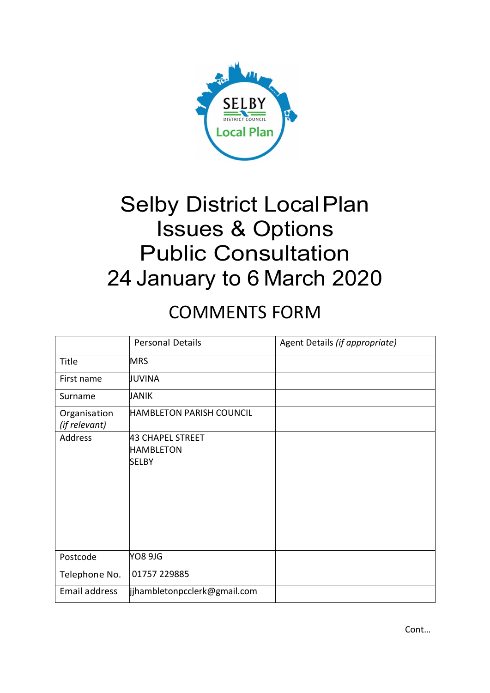

# **Selby District Local Plan** Issues & Options Public Consultation 24 January to 6 March 2020

# COMMENTS FORM

|                               | <b>Personal Details</b>                              | Agent Details (if appropriate) |
|-------------------------------|------------------------------------------------------|--------------------------------|
| Title                         | <b>MRS</b>                                           |                                |
| First name                    | JUVINA                                               |                                |
| Surname                       | JANIK                                                |                                |
| Organisation<br>(if relevant) | <b>HAMBLETON PARISH COUNCIL</b>                      |                                |
| <b>Address</b>                | 43 CHAPEL STREET<br><b>HAMBLETON</b><br><b>SELBY</b> |                                |
| Postcode                      | <b>YO8 9JG</b>                                       |                                |
| Telephone No.                 | 01757 229885                                         |                                |
| Email address                 | ijhambletonpcclerk@gmail.com                         |                                |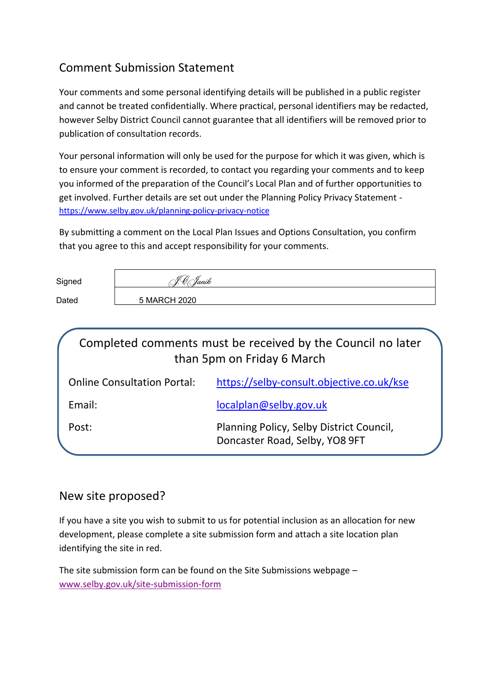### Comment Submission Statement

Your comments and some personal identifying details will be published in a public register and cannot be treated confidentially. Where practical, personal identifiers may be redacted, however Selby District Council cannot guarantee that all identifiers will be removed prior to publication of consultation records.

Your personal information will only be used for the purpose for which it was given, which is to ensure your comment is recorded, to contact you regarding your comments and to keep you informed of the preparation of the Council's Local Plan and of further opportunities to get involved. Further details are set out under the Planning Policy Privacy Statement https://www.selby.gov.uk/planning-policy-privacy-notice

By submitting a comment on the Local Plan Issues and Options Consultation, you confirm that you agree to this and accept responsibility for your comments.

| Signed | Yanik<br>-10 i |
|--------|----------------|
| Dated  | 5 MARCH 2020   |

| Completed comments must be received by the Council no later<br>than 5pm on Friday 6 March |                                                                            |  |  |  |
|-------------------------------------------------------------------------------------------|----------------------------------------------------------------------------|--|--|--|
| <b>Online Consultation Portal:</b>                                                        | https://selby-consult.objective.co.uk/kse                                  |  |  |  |
| Email:                                                                                    | localplan@selby.gov.uk                                                     |  |  |  |
| Post:                                                                                     | Planning Policy, Selby District Council,<br>Doncaster Road, Selby, YO8 9FT |  |  |  |

#### New site proposed?

If you have a site you wish to submit to us for potential inclusion as an allocation for new development, please complete a site submission form and attach a site location plan identifying the site in red.

The site submission form can be found on the Site Submissions webpage – www.selby.gov.uk/site-submission-form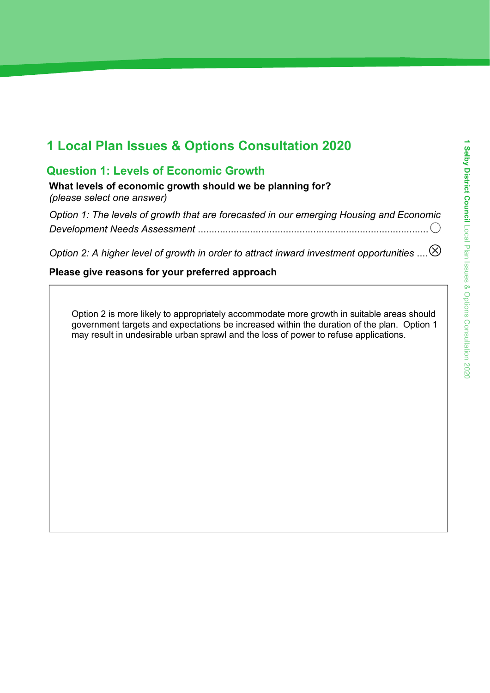## 1 Local Plan Issues & Options Consultation 2020

### Question 1: Levels of Economic Growth

What levels of economic growth should we be planning for? *(please select one answer)*

*Option 1: The levels of growth that are forecasted in our emerging Housing and Economic Development Needs Assessment* ....................................................................................

*Option 2: A higher level of growth in order to attract inward investment opportunities* ....

#### Please give reasons for your preferred approach

Option 2 is more likely to appropriately accommodate more growth in suitable areas should government targets and expectations be increased within the duration of the plan. Option 1 may result in undesirable urban sprawl and the loss of power to refuse applications.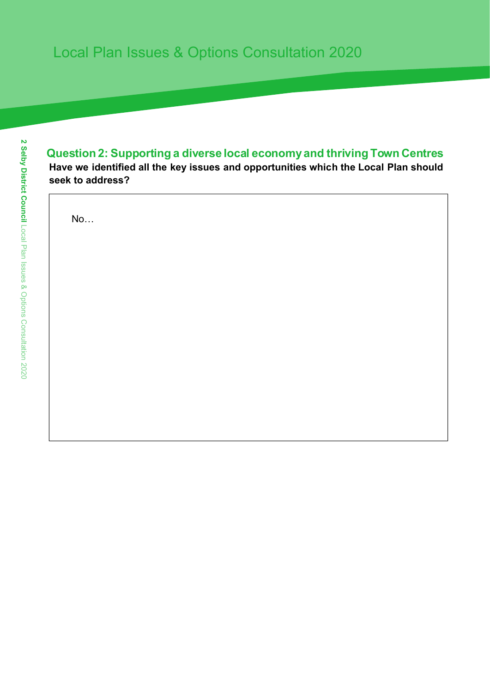### Question 2: Supporting a diverse local economyand thriving Town Centres

Have we identified all the key issues and opportunities which the Local Plan should seek to address?

No…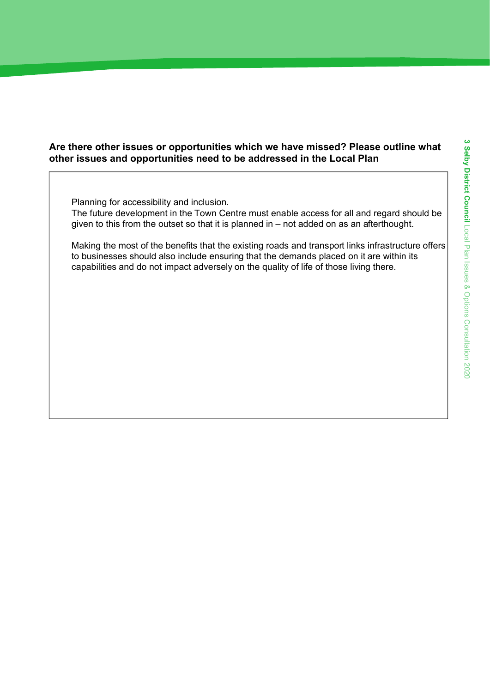#### Are there other issues or opportunities which we have missed? Please outline what other issues and opportunities need to be addressed in the Local Plan

Planning for accessibility and inclusion. The future development in the Town Centre must enable access for all and regard should be given to this from the outset so that it is planned in – not added on as an afterthought.

Making the most of the benefits that the existing roads and transport links infrastructure offers to businesses should also include ensuring that the demands placed on it are within its capabilities and do not impact adversely on the quality of life of those living there.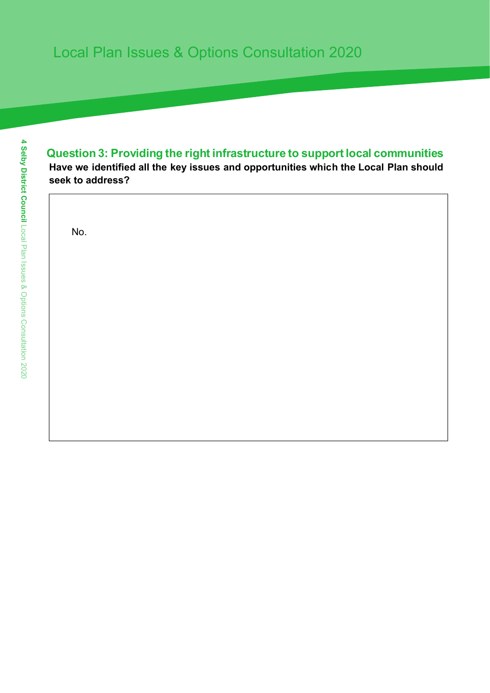### Question 3: Providing the right infrastructure to support local communities

Have we identified all the key issues and opportunities which the Local Plan should seek to address?

No.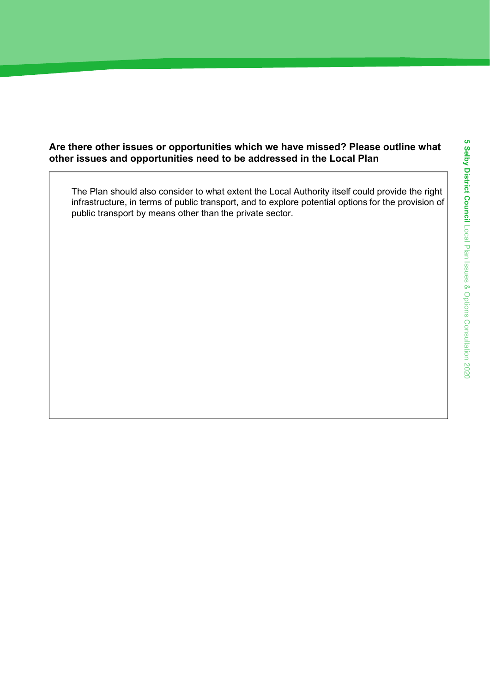#### Are there other issues or opportunities which we have missed? Please outline what other issues and opportunities need to be addressed in the Local Plan

The Plan should also consider to what extent the Local Authority itself could provide the right infrastructure, in terms of public transport, and to explore potential options for the provision of public transport by means other than the private sector.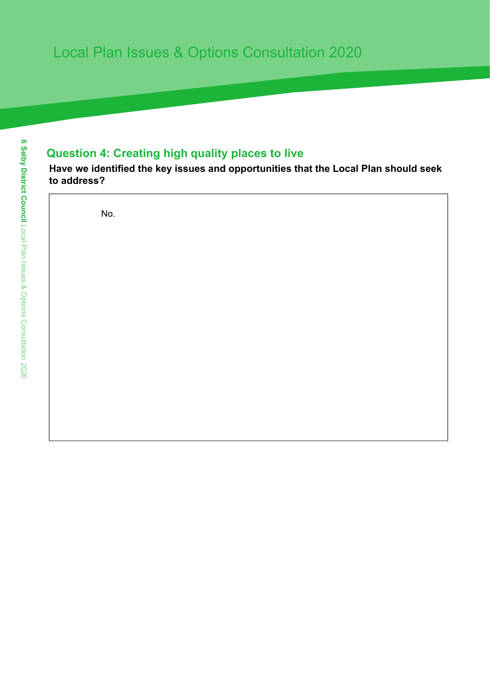### Question 4: Creating high quality places to live

Have we identified the key issues and opportunities that the Local Plan should seek to address?

No.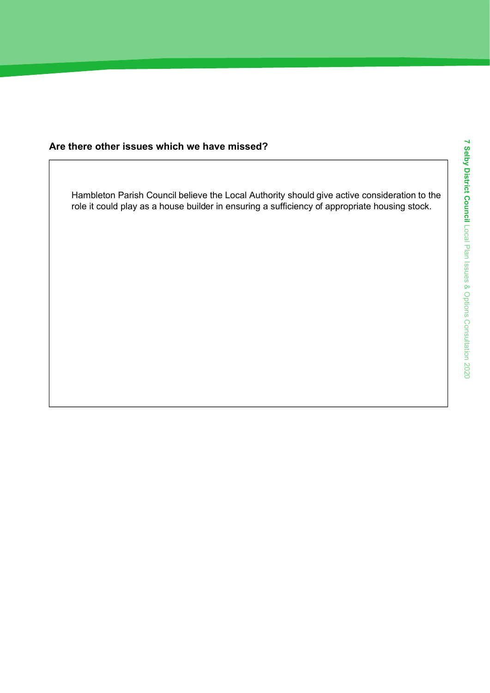#### Are there other issues which we have missed?

Hambleton Parish Council believe the Local Authority should give active consideration to the role it could play as a house builder in ensuring a sufficiency of appropriate housing stock.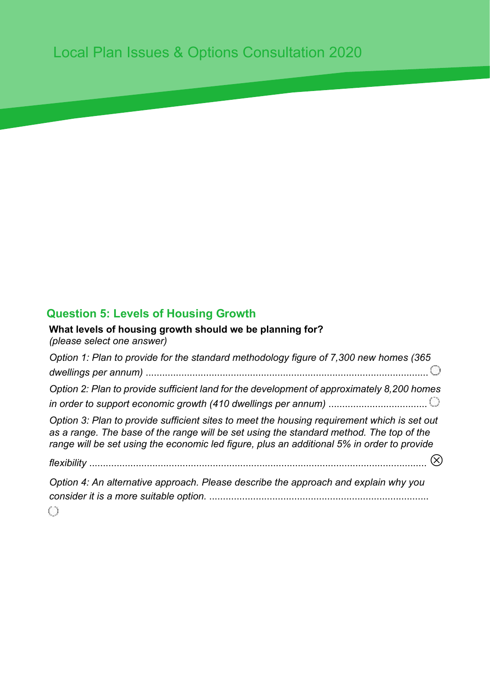### Question 5: Levels of Housing Growth

What levels of housing growth should we be planning for? *(please select one answer)*

*Option 1: Plan to provide for the standard methodology figure of 7,300 new homes (365 dwellings per annum)* ....................................................................................................... *Option 2: Plan to provide sufficient land for the development of approximately 8,200 homes in order to support economic growth (410 dwellings per annum)* .................................... *Option 3: Plan to provide sufficient sites to meet the housing requirement which is set out as a range. The base of the range will be set using the standard method. The top of the range will be set using the economic led figure, plus an additional 5% in order to provide* 

*flexibility* ...........................................................................................................................

*Option 4: An alternative approach. Please describe the approach and explain why you consider it is a more suitable option.* ................................................................................ O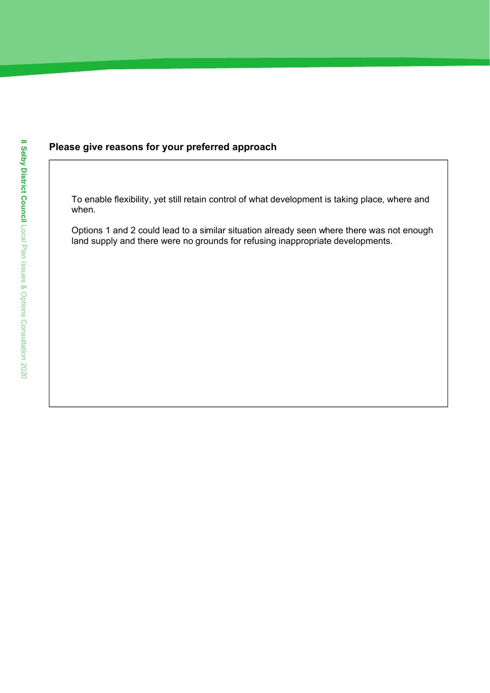#### Please give reasons for your preferred approach

To enable flexibility, yet still retain control of what development is taking place, where and when.

Options 1 and 2 could lead to a similar situation already seen where there was not enough land supply and there were no grounds for refusing inappropriate developments.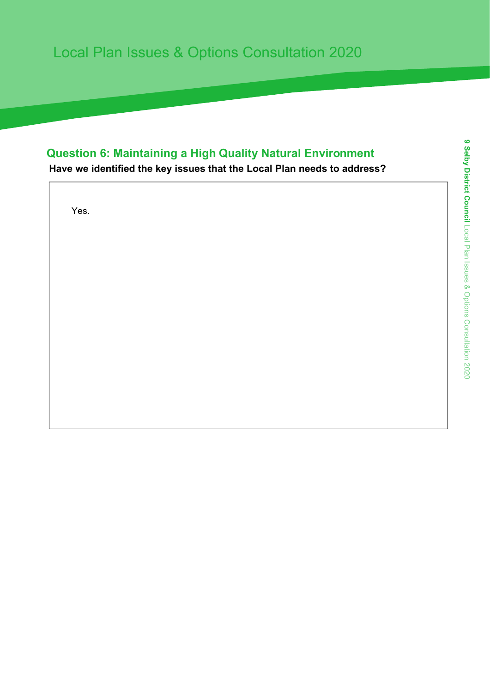### Question 6: Maintaining a High Quality Natural Environment

Have we identified the key issues that the Local Plan needs to address?

Yes.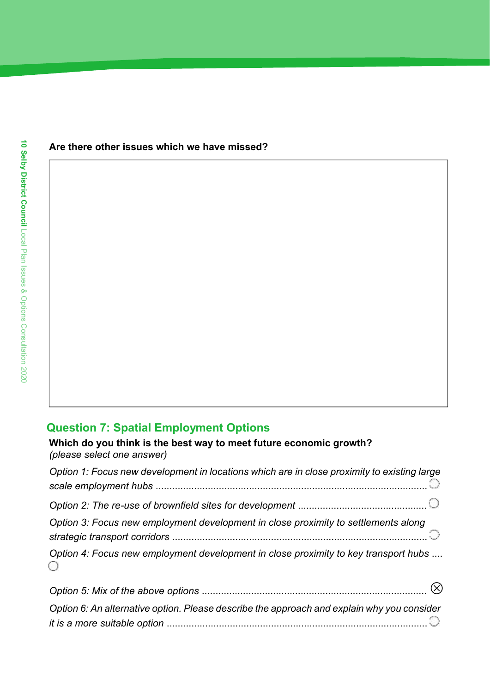#### Are there other issues which we have missed?

### Question 7: Spatial Employment Options

Which do you think is the best way to meet future economic growth? *(please select one answer) Option 1: Focus new development in locations which are in close proximity to existing large scale employment hubs* ................................................................................................... *Option 2: The re-use of brownfield sites for development* ............................................... *Option 3: Focus new employment development in close proximity to settlements along strategic transport corridors* ............................................................................................. *Option 4: Focus new employment development in close proximity to key transport hubs* .... ⊙

| Option 5: Mix of the above options $\ldots$ $\ldots$ $\ldots$ $\ldots$ $\ldots$ $\ldots$ $\ldots$ $\ldots$ $\ldots$ $\ldots$ $\ldots$ $\otimes$ |  |
|-------------------------------------------------------------------------------------------------------------------------------------------------|--|
| Option 6: An alternative option. Please describe the approach and explain why you consider                                                      |  |
|                                                                                                                                                 |  |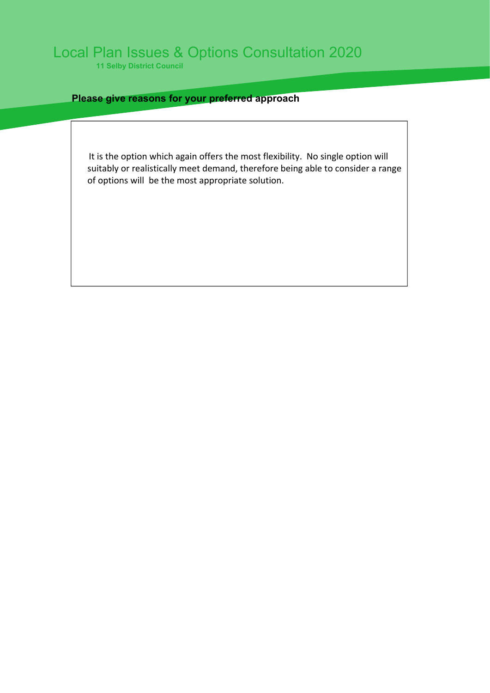11 Selby District Council

#### Please give reasons for your preferred approach

It is the option which again offers the most flexibility. No single option will suitably or realistically meet demand, therefore being able to consider a range of options will be the most appropriate solution.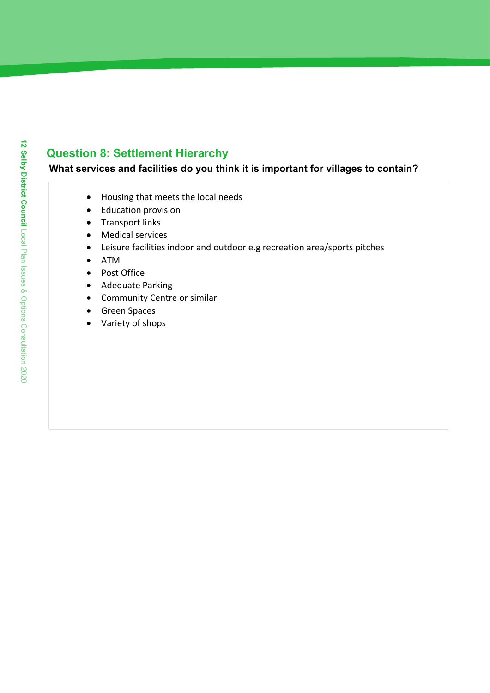### Question 8: Settlement Hierarchy

#### What services and facilities do you think it is important for villages to contain?

- Housing that meets the local needs
- Education provision
- Transport links
- Medical services
- Leisure facilities indoor and outdoor e.g recreation area/sports pitches
- ATM
- Post Office
- Adequate Parking
- Community Centre or similar
- **•** Green Spaces
- Variety of shops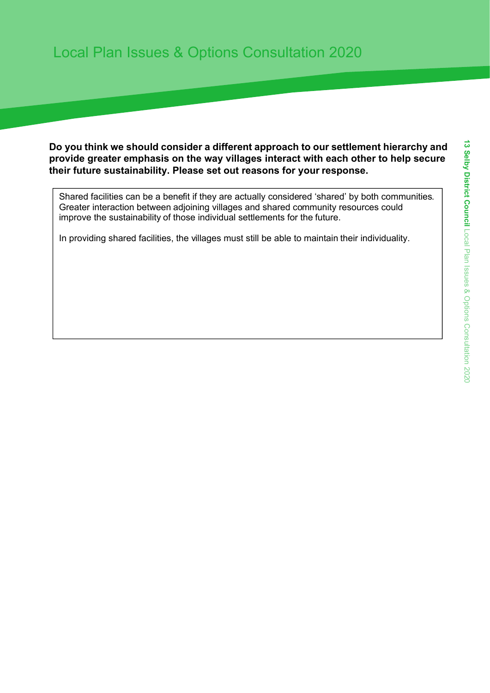Do you think we should consider a different approach to our settlement hierarchy and provide greater emphasis on the way villages interact with each other to help secure their future sustainability. Please set out reasons for your response.

Shared facilities can be a benefit if they are actually considered 'shared' by both communities. Greater interaction between adjoining villages and shared community resources could improve the sustainability of those individual settlements for the future.

In providing shared facilities, the villages must still be able to maintain their individuality.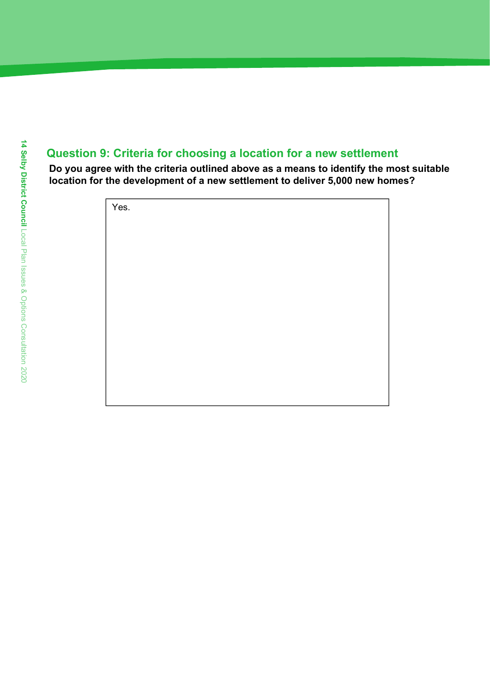### Question 9: Criteria for choosing a location for a new settlement

Do you agree with the criteria outlined above as a means to identify the most suitable location for the development of a new settlement to deliver 5,000 new homes?

| Yes. |  |  |
|------|--|--|
|      |  |  |
|      |  |  |
|      |  |  |
|      |  |  |
|      |  |  |
|      |  |  |
|      |  |  |
|      |  |  |
|      |  |  |
|      |  |  |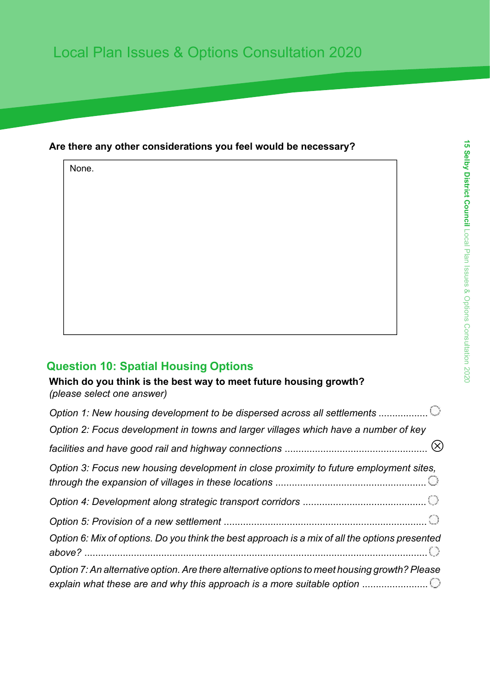#### Are there any other considerations you feel would be necessary?

None.

### Question 10: Spatial Housing Options

Which do you think is the best way to meet future housing growth? *(please select one answer)*

| Option 1: New housing development to be dispersed across all settlements                                                                                                |
|-------------------------------------------------------------------------------------------------------------------------------------------------------------------------|
| Option 2: Focus development in towns and larger villages which have a number of key                                                                                     |
|                                                                                                                                                                         |
| Option 3: Focus new housing development in close proximity to future employment sites,                                                                                  |
|                                                                                                                                                                         |
|                                                                                                                                                                         |
| Option 6: Mix of options. Do you think the best approach is a mix of all the options presented                                                                          |
| Option 7: An alternative option. Are there alternative options to meet housing growth? Please<br>explain what these are and why this approach is a more suitable option |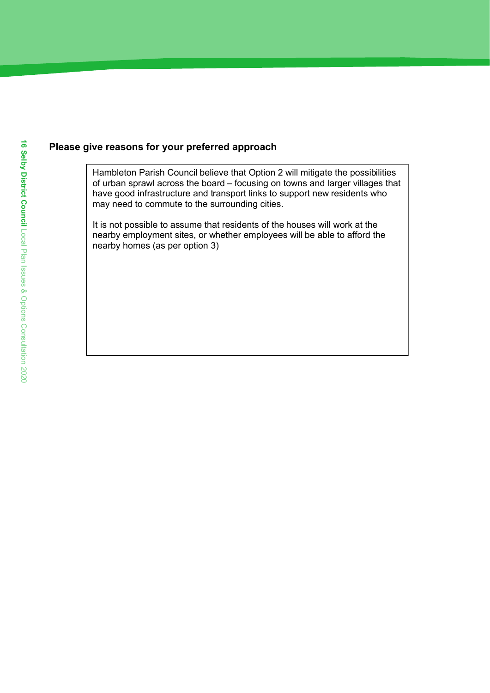#### Please give reasons for your preferred approach

Hambleton Parish Council believe that Option 2 will mitigate the possibilities of urban sprawl across the board – focusing on towns and larger villages that have good infrastructure and transport links to support new residents who may need to commute to the surrounding cities.

It is not possible to assume that residents of the houses will work at the nearby employment sites, or whether employees will be able to afford the nearby homes (as per option 3)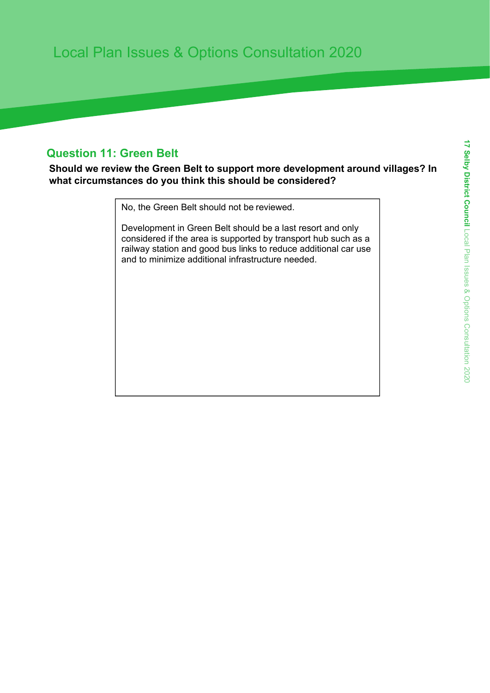### Question 11: Green Belt

Should we review the Green Belt to support more development around villages? In what circumstances do you think this should be considered?

No, the Green Belt should not be reviewed.

Development in Green Belt should be a last resort and only considered if the area is supported by transport hub such as a railway station and good bus links to reduce additional car use and to minimize additional infrastructure needed.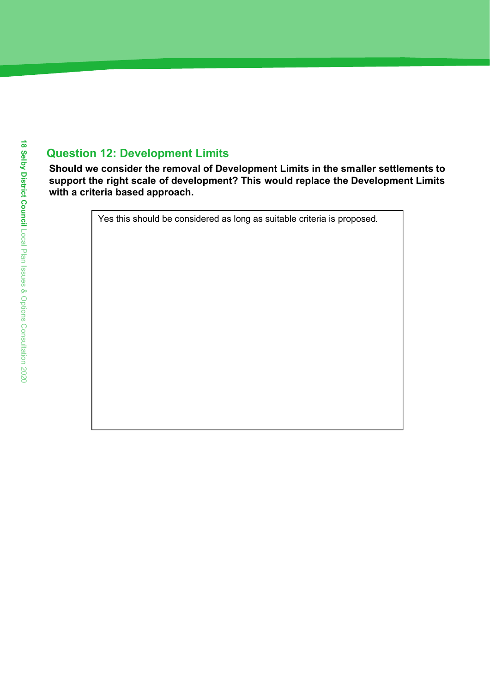### Question 12: Development Limits

Should we consider the removal of Development Limits in the smaller settlements to support the right scale of development? This would replace the Development Limits with a criteria based approach.

Yes this should be considered as long as suitable criteria is proposed.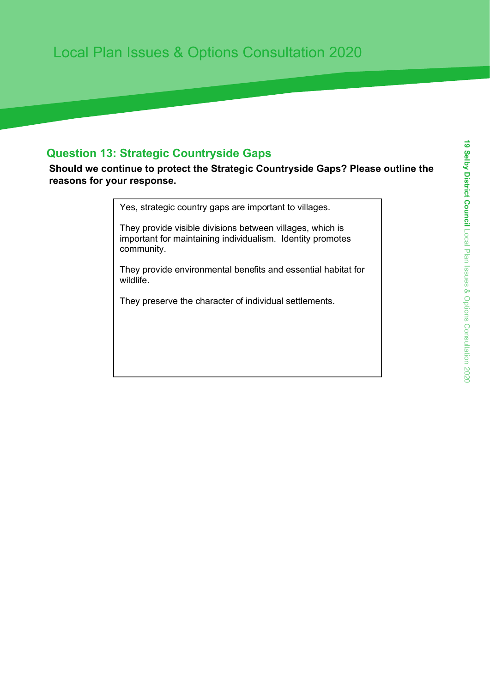### Question 13: Strategic Countryside Gaps

Should we continue to protect the Strategic Countryside Gaps? Please outline the reasons for your response.

Yes, strategic country gaps are important to villages.

They provide visible divisions between villages, which is important for maintaining individualism. Identity promotes community.

They provide environmental benefits and essential habitat for wildlife.

They preserve the character of individual settlements.